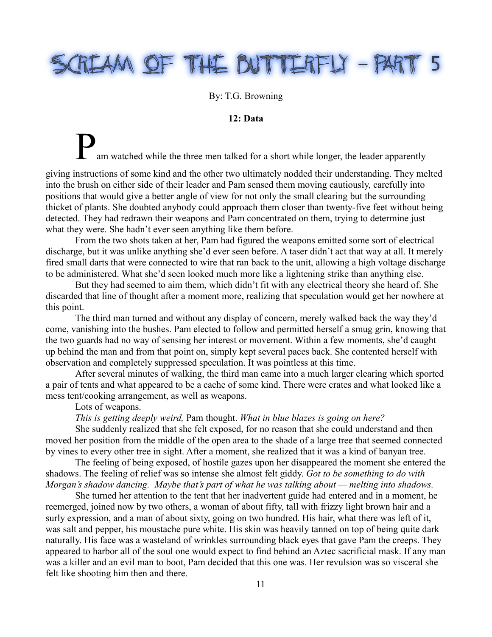# REAM OF THE BUTTERFLY - PART  $\mathbb{T}$  5

## By: T.G. Browning

## **12: Data**

am watched while the three men talked for a short while longer, the leader apparently

giving instructions of some kind and the other two ultimately nodded their understanding. They melted into the brush on either side of their leader and Pam sensed them moving cautiously, carefully into positions that would give a better angle of view for not only the small clearing but the surrounding thicket of plants. She doubted anybody could approach them closer than twenty-five feet without being detected. They had redrawn their weapons and Pam concentrated on them, trying to determine just what they were. She hadn't ever seen anything like them before.

From the two shots taken at her, Pam had figured the weapons emitted some sort of electrical discharge, but it was unlike anything she'd ever seen before. A taser didn't act that way at all. It merely fired small darts that were connected to wire that ran back to the unit, allowing a high voltage discharge to be administered. What she'd seen looked much more like a lightening strike than anything else.

But they had seemed to aim them, which didn't fit with any electrical theory she heard of. She discarded that line of thought after a moment more, realizing that speculation would get her nowhere at this point.

The third man turned and without any display of concern, merely walked back the way they'd come, vanishing into the bushes. Pam elected to follow and permitted herself a smug grin, knowing that the two guards had no way of sensing her interest or movement. Within a few moments, she'd caught up behind the man and from that point on, simply kept several paces back. She contented herself with observation and completely suppressed speculation. It was pointless at this time.

After several minutes of walking, the third man came into a much larger clearing which sported a pair of tents and what appeared to be a cache of some kind. There were crates and what looked like a mess tent/cooking arrangement, as well as weapons.

Lots of weapons.

*This is getting deeply weird,* Pam thought. *What in blue blazes is going on here?* 

She suddenly realized that she felt exposed, for no reason that she could understand and then moved her position from the middle of the open area to the shade of a large tree that seemed connected by vines to every other tree in sight. After a moment, she realized that it was a kind of banyan tree.

The feeling of being exposed, of hostile gazes upon her disappeared the moment she entered the shadows. The feeling of relief was so intense she almost felt giddy. *Got to be something to do with Morgan's shadow dancing. Maybe that's part of what he was talking about — melting into shadows.*

She turned her attention to the tent that her inadvertent guide had entered and in a moment, he reemerged, joined now by two others, a woman of about fifty, tall with frizzy light brown hair and a surly expression, and a man of about sixty, going on two hundred. His hair, what there was left of it, was salt and pepper, his moustache pure white. His skin was heavily tanned on top of being quite dark naturally. His face was a wasteland of wrinkles surrounding black eyes that gave Pam the creeps. They appeared to harbor all of the soul one would expect to find behind an Aztec sacrificial mask. If any man was a killer and an evil man to boot, Pam decided that this one was. Her revulsion was so visceral she felt like shooting him then and there.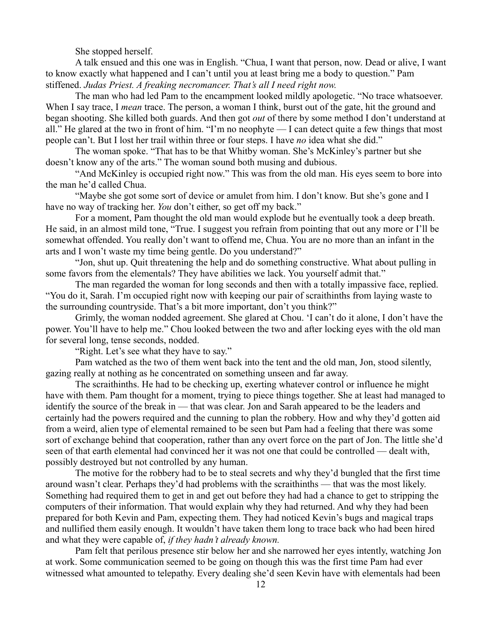She stopped herself.

A talk ensued and this one was in English. "Chua, I want that person, now. Dead or alive, I want to know exactly what happened and I can't until you at least bring me a body to question." Pam stiffened. *Judas Priest. A freaking necromancer. That's all I need right now.*

The man who had led Pam to the encampment looked mildly apologetic. "No trace whatsoever. When I say trace, I *mean* trace. The person, a woman I think, burst out of the gate, hit the ground and began shooting. She killed both guards. And then got *out* of there by some method I don't understand at all." He glared at the two in front of him. "I'm no neophyte — I can detect quite a few things that most people can't. But I lost her trail within three or four steps. I have *no* idea what she did."

The woman spoke. "That has to be that Whitby woman. She's McKinley's partner but she doesn't know any of the arts." The woman sound both musing and dubious.

"And McKinley is occupied right now." This was from the old man. His eyes seem to bore into the man he'd called Chua.

"Maybe she got some sort of device or amulet from him. I don't know. But she's gone and I have no way of tracking her. *You* don't either, so get off my back."

For a moment, Pam thought the old man would explode but he eventually took a deep breath. He said, in an almost mild tone, "True. I suggest you refrain from pointing that out any more or I'll be somewhat offended. You really don't want to offend me, Chua. You are no more than an infant in the arts and I won't waste my time being gentle. Do you understand?"

"Jon, shut up. Quit threatening the help and do something constructive. What about pulling in some favors from the elementals? They have abilities we lack. You yourself admit that."

The man regarded the woman for long seconds and then with a totally impassive face, replied. "You do it, Sarah. I'm occupied right now with keeping our pair of scraithinths from laying waste to the surrounding countryside. That's a bit more important, don't you think?"

Grimly, the woman nodded agreement. She glared at Chou. 'I can't do it alone, I don't have the power. You'll have to help me." Chou looked between the two and after locking eyes with the old man for several long, tense seconds, nodded.

"Right. Let's see what they have to say."

Pam watched as the two of them went back into the tent and the old man, Jon, stood silently, gazing really at nothing as he concentrated on something unseen and far away.

The scraithinths. He had to be checking up, exerting whatever control or influence he might have with them. Pam thought for a moment, trying to piece things together. She at least had managed to identify the source of the break in — that was clear. Jon and Sarah appeared to be the leaders and certainly had the powers required and the cunning to plan the robbery. How and why they'd gotten aid from a weird, alien type of elemental remained to be seen but Pam had a feeling that there was some sort of exchange behind that cooperation, rather than any overt force on the part of Jon. The little she'd seen of that earth elemental had convinced her it was not one that could be controlled — dealt with, possibly destroyed but not controlled by any human.

The motive for the robbery had to be to steal secrets and why they'd bungled that the first time around wasn't clear. Perhaps they'd had problems with the scraithinths — that was the most likely. Something had required them to get in and get out before they had had a chance to get to stripping the computers of their information. That would explain why they had returned. And why they had been prepared for both Kevin and Pam, expecting them. They had noticed Kevin's bugs and magical traps and nullified them easily enough. It wouldn't have taken them long to trace back who had been hired and what they were capable of, *if they hadn't already known.*

Pam felt that perilous presence stir below her and she narrowed her eyes intently, watching Jon at work. Some communication seemed to be going on though this was the first time Pam had ever witnessed what amounted to telepathy. Every dealing she'd seen Kevin have with elementals had been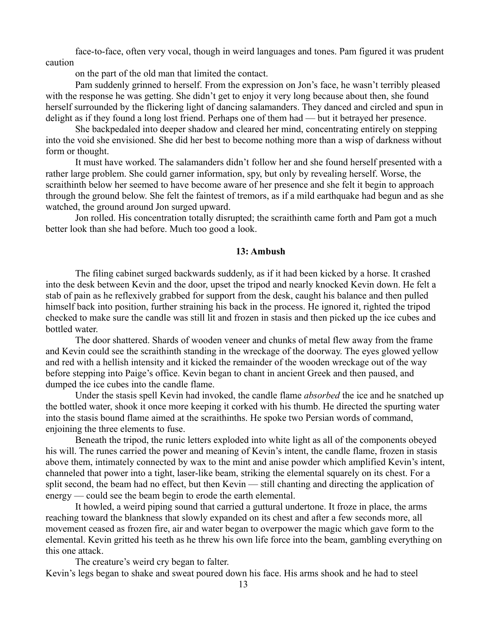face-to-face, often very vocal, though in weird languages and tones. Pam figured it was prudent caution

on the part of the old man that limited the contact.

Pam suddenly grinned to herself. From the expression on Jon's face, he wasn't terribly pleased with the response he was getting. She didn't get to enjoy it very long because about then, she found herself surrounded by the flickering light of dancing salamanders. They danced and circled and spun in delight as if they found a long lost friend. Perhaps one of them had — but it betrayed her presence.

She backpedaled into deeper shadow and cleared her mind, concentrating entirely on stepping into the void she envisioned. She did her best to become nothing more than a wisp of darkness without form or thought.

It must have worked. The salamanders didn't follow her and she found herself presented with a rather large problem. She could garner information, spy, but only by revealing herself. Worse, the scraithinth below her seemed to have become aware of her presence and she felt it begin to approach through the ground below. She felt the faintest of tremors, as if a mild earthquake had begun and as she watched, the ground around Jon surged upward.

Jon rolled. His concentration totally disrupted; the scraithinth came forth and Pam got a much better look than she had before. Much too good a look.

# **13: Ambush**

The filing cabinet surged backwards suddenly, as if it had been kicked by a horse. It crashed into the desk between Kevin and the door, upset the tripod and nearly knocked Kevin down. He felt a stab of pain as he reflexively grabbed for support from the desk, caught his balance and then pulled himself back into position, further straining his back in the process. He ignored it, righted the tripod checked to make sure the candle was still lit and frozen in stasis and then picked up the ice cubes and bottled water.

The door shattered. Shards of wooden veneer and chunks of metal flew away from the frame and Kevin could see the scraithinth standing in the wreckage of the doorway. The eyes glowed yellow and red with a hellish intensity and it kicked the remainder of the wooden wreckage out of the way before stepping into Paige's office. Kevin began to chant in ancient Greek and then paused, and dumped the ice cubes into the candle flame.

Under the stasis spell Kevin had invoked, the candle flame *absorbed* the ice and he snatched up the bottled water, shook it once more keeping it corked with his thumb. He directed the spurting water into the stasis bound flame aimed at the scraithinths. He spoke two Persian words of command, enjoining the three elements to fuse.

Beneath the tripod, the runic letters exploded into white light as all of the components obeyed his will. The runes carried the power and meaning of Kevin's intent, the candle flame, frozen in stasis above them, intimately connected by wax to the mint and anise powder which amplified Kevin's intent, channeled that power into a tight, laser-like beam, striking the elemental squarely on its chest. For a split second, the beam had no effect, but then Kevin — still chanting and directing the application of energy — could see the beam begin to erode the earth elemental.

It howled, a weird piping sound that carried a guttural undertone. It froze in place, the arms reaching toward the blankness that slowly expanded on its chest and after a few seconds more, all movement ceased as frozen fire, air and water began to overpower the magic which gave form to the elemental. Kevin gritted his teeth as he threw his own life force into the beam, gambling everything on this one attack.

The creature's weird cry began to falter.

Kevin's legs began to shake and sweat poured down his face. His arms shook and he had to steel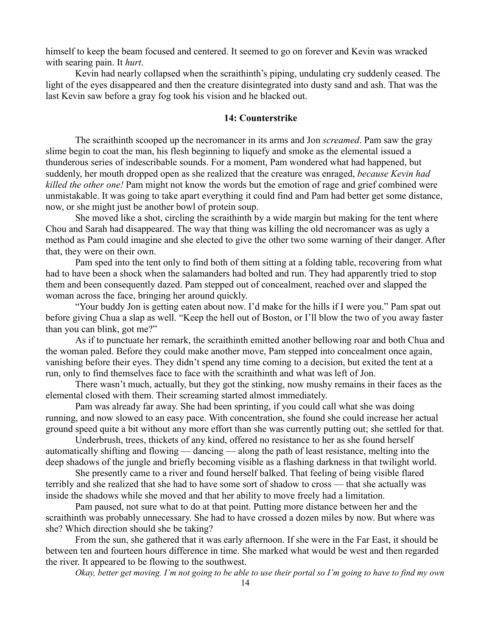himself to keep the beam focused and centered. It seemed to go on forever and Kevin was wracked with searing pain. It *hurt*.

Kevin had nearly collapsed when the scraithinth's piping, undulating cry suddenly ceased. The light of the eyes disappeared and then the creature disintegrated into dusty sand and ash. That was the last Kevin saw before a gray fog took his vision and he blacked out.

## **14: Counterstrike**

The scraithinth scooped up the necromancer in its arms and Jon *screamed*. Pam saw the gray slime begin to coat the man, his flesh beginning to liquefy and smoke as the elemental issued a thunderous series of indescribable sounds. For a moment, Pam wondered what had happened, but suddenly, her mouth dropped open as she realized that the creature was enraged, *because Kevin had killed the other one!* Pam might not know the words but the emotion of rage and grief combined were unmistakable. It was going to take apart everything it could find and Pam had better get some distance, now, or she might just be another bowl of protein soup.

She moved like a shot, circling the scraithinth by a wide margin but making for the tent where Chou and Sarah had disappeared. The way that thing was killing the old necromancer was as ugly a method as Pam could imagine and she elected to give the other two some warning of their danger. After that, they were on their own.

Pam sped into the tent only to find both of them sitting at a folding table, recovering from what had to have been a shock when the salamanders had bolted and run. They had apparently tried to stop them and been consequently dazed. Pam stepped out of concealment, reached over and slapped the woman across the face, bringing her around quickly.

"Your buddy Jon is getting eaten about now. I'd make for the hills if I were you." Pam spat out before giving Chua a slap as well. "Keep the hell out of Boston, or I'll blow the two of you away faster than you can blink, got me?"

As if to punctuate her remark, the scraithinth emitted another bellowing roar and both Chua and the woman paled. Before they could make another move, Pam stepped into concealment once again, vanishing before their eyes. They didn't spend any time coming to a decision, but exited the tent at a run, only to find themselves face to face with the scraithinth and what was left of Jon.

There wasn't much, actually, but they got the stinking, now mushy remains in their faces as the elemental closed with them. Their screaming started almost immediately.

Pam was already far away. She had been sprinting, if you could call what she was doing running, and now slowed to an easy pace. With concentration, she found she could increase her actual ground speed quite a bit without any more effort than she was currently putting out; she settled for that.

Underbrush, trees, thickets of any kind, offered no resistance to her as she found herself automatically shifting and flowing — dancing — along the path of least resistance, melting into the deep shadows of the jungle and briefly becoming visible as a flashing darkness in that twilight world.

She presently came to a river and found herself balked. That feeling of being visible flared terribly and she realized that she had to have some sort of shadow to cross — that she actually was inside the shadows while she moved and that her ability to move freely had a limitation.

Pam paused, not sure what to do at that point. Putting more distance between her and the scraithinth was probably unnecessary. She had to have crossed a dozen miles by now. But where was she? Which direction should she be taking?

From the sun, she gathered that it was early afternoon. If she were in the Far East, it should be between ten and fourteen hours difference in time. She marked what would be west and then regarded the river. It appeared to be flowing to the southwest.

*Okay, better get moving. I'm not going to be able to use their portal so I'm going to have to find my own*